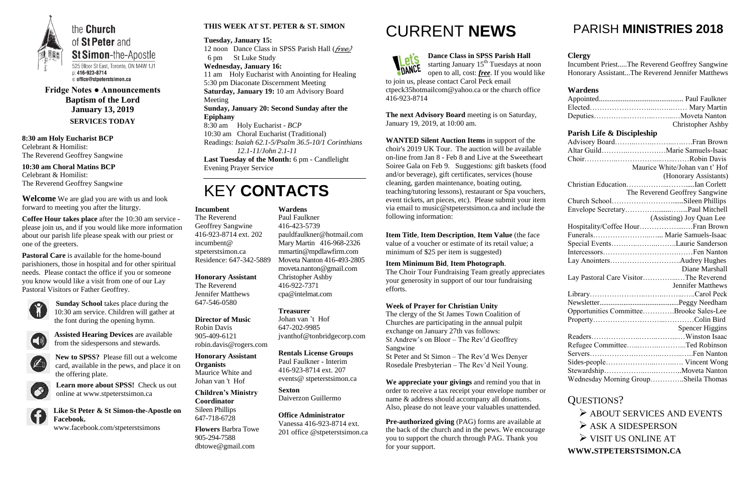

**Fridge Notes ● Announcements Baptism of the Lord January 13, 2019 SERVICES TODAY**

**8:30 am Holy Eucharist BCP** Celebrant & Homilist: The Reverend Geoffrey Sangwine

**10:30 am Choral Matins BCP** Celebrant & Homilist: The Reverend Geoffrey Sangwine

**Welcome** We are glad you are with us and look forward to meeting you after the liturgy.

**Coffee Hour takes place** after the 10:30 am service please join us, and if you would like more information about our parish life please speak with our priest or one of the greeters.

**Pastoral Care** is available for the home-bound parishioners, those in hospital and for other spiritual needs. Please contact the office if you or someone you know would like a visit from one of our Lay Pastoral Visitors or Father Geoffrey.



**Sunday School** takes place during the 10:30 am service. Children will gather at the font during the opening hymn.



**Assisted Hearing Devices** are available from the sidespersons and stewards.



**New to SPSS?** Please fill out a welcome



card, available in the pews, and place it on the offering plate.



**Learn more about SPSS!** Check us out online at www.stpeterstsimon.ca

**Like St Peter & St Simon-the-Apostle on Facebook.**  www.facebook.com/stpeterstsimons

#### **THIS WEEK AT ST. PETER & ST. SIMON**

**Tuesday, January 15:** 12 noon Dance Class in SPSS Parish Hall (*free)* 6 pm St Luke Study **Wednesday, January 16:** 11 am Holy Eucharist with Anointing for Healing 5:30 pm Diaconate Discernment Meeting **Saturday, January 19:** 10 am Advisory Board Meeting **Sunday, January 20: Second Sunday after the Epiphany** 8:30 am Holy Eucharist - *BCP* 10:30 am Choral Eucharist (Traditional)

Readings: *Isaiah 62.1-5/Psalm 36.5-10/1 Corinthians 12.1-11/John 2.1-11*

**Last Tuesday of the Month:** 6 pm - Candlelight Evening Prayer Service

## KEY **CONTACTS**

## CURRENT **NEWS**



**Dance Class in SPSS Parish Hall** starting January 15<sup>th</sup> Tuesdays at noon open to all, cost: *free*. If you would like

to join us, please contact Carol Peck email ctpeck35hotmailcom@yahoo.ca or the church office 416-923-8714

**The next Advisory Board** meeting is on Saturday, January 19, 2019, at 10:00 am.

**WANTED Silent Auction Items** in support of the choir's 2019 UK Tour. The auction will be available on-line from Jan 8 - Feb 8 and Live at the Sweetheart Soiree Gala on Feb 9. Suggestions: gift baskets (food and/or beverage), gift certificates, services (house cleaning, garden maintenance, boating outing, teaching/tutoring lessons), restaurant or Spa vouchers, event tickets, art pieces, etc). Please submit your item via email to music@stpeterstsimon.ca and include the following information:

- $\triangleright$  ASK A SIDESPERSON
- VISIT US ONLINE AT

**Item Title**, **Item Description**, **Item Value** (the face value of a voucher or estimate of its retail value; a minimum of \$25 per item is suggested)

**Item Minimum Bid**, **Item Photograph**.

The Choir Tour Fundraising Team greatly appreciates your generosity in support of our tour fundraising efforts.

#### **Week of Prayer for Christian Unity**

The clergy of the St James Town Coalition of Churches are participating in the annual pulpit exchange on January 27th vas follows: St Andrew's on Bloor – The Rev'd Geoffrey Sangwine

St Peter and St Simon – The Rev'd Wes Denyer Rosedale Presbyterian – The Rev'd Neil Young.

**We appreciate your givings** and remind you that in order to receive a tax receipt your envelope number or name & address should accompany all donations. Also, please do not leave your valuables unattended.

**Pre-authorized giving** (PAG) forms are available at the back of the church and in the pews. We encourage you to support the church through PAG. Thank you for your support.

## PARISH **MINISTRIES 2018**

### **Clergy**

Incumbent Priest.....The Reverend Geoffrey Sangwine Honorary Assistant...The Reverend Jennifer Matthews

### **Wardens**

|                                         | <b>Christopher Ashby</b>       |
|-----------------------------------------|--------------------------------|
| Parish Life & Discipleship              |                                |
|                                         |                                |
|                                         |                                |
|                                         |                                |
|                                         | Maurice White/Johan van t' Hof |
|                                         | (Honorary Assistants)          |
|                                         |                                |
|                                         | The Reverend Geoffrey Sangwine |
| Church SchoolSileen Phillips            |                                |
|                                         |                                |
|                                         | (Assisting) Joy Quan Lee       |
| Hospitality/Coffee Hour Fran Brown      |                                |
| Funerals Marie Samuels-Isaac            |                                |
| Special EventsLaurie Sanderson          |                                |
|                                         |                                |
|                                         |                                |
|                                         | Diane Marshall                 |
| Lay Pastoral Care VisitorThe Reverend   |                                |
|                                         | <b>Jennifer Matthews</b>       |
|                                         |                                |
|                                         |                                |
| Opportunities CommitteeBrooke Sales-Lee |                                |
|                                         |                                |
|                                         | <b>Spencer Higgins</b>         |
|                                         |                                |
| Refugee CommitteeTed Robinson           |                                |
|                                         |                                |
|                                         |                                |
|                                         |                                |
| Wednesday Morning GroupSheila Thomas    |                                |

## QUESTIONS?

 $\triangleright$  ABOUT SERVICES AND EVENTS

**WWW.STPETERSTSIMON.CA**

#### **Incumbent**

The Reverend Geoffrey Sangwine 416-923-8714 ext. 202 incumbent@ stpeterstsimon.ca Residence: 647-342-5889

#### **Honorary Assistant**

The Reverend Jennifer Matthews 647-546-0580

**Director of Music** 

Robin Davis 905-409-6121 robin.davis@rogers.com

**Honorary Assistant Organists**  Maurice White and

Johan van 't Hof

**Children's Ministry Coordinator** Sileen Phillips 647-718-6728

**Flowers** Barbra Towe 905-294-7588 dbtowe@gmail.com

**Wardens**  Paul Faulkner 416-423-5739 [pauldfaulkner@hotmail.com](mailto:pauldfaulkner@hotmail.com)  Mary Martin 416-968-2326 mmartin@mpdlawfirm.com Moveta Nanton 416-493-2805 moveta.nanton@gmail.com Christopher Ashby 416-922-7371 cpa@intelmat.com

#### **Treasurer**

Johan van 't Hof 647-202-9985 jvanthof@tonbridgecorp.com

#### **Rentals License Groups**

Paul Faulkner - Interim 416-923-8714 ext. 207 events@ stpeterstsimon.ca

**Sexton** Daiverzon Guillermo

**Office Administrator** Vanessa 416-923-8714 ext. 201 office @stpeterstsimon.ca